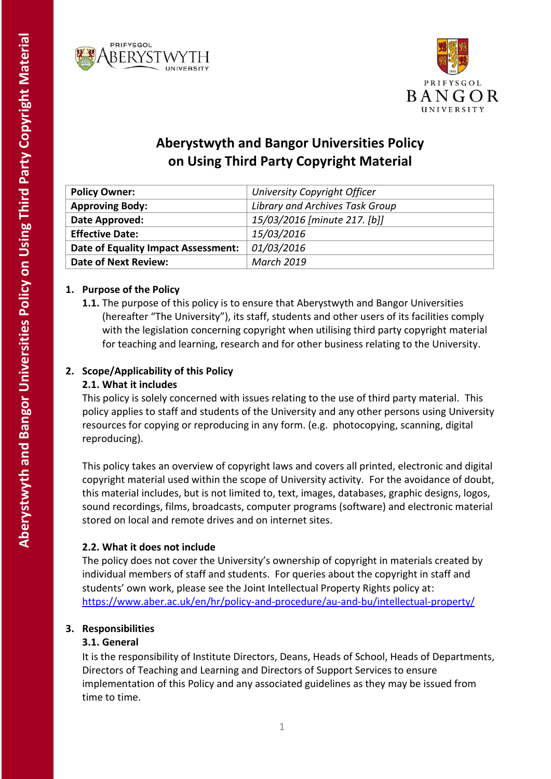



# **Aberystwyth and Bangor Universities Policy on Using Third Party Copyright Material**

| <b>Policy Owner:</b>                | University Copyright Officer    |
|-------------------------------------|---------------------------------|
| <b>Approving Body:</b>              | Library and Archives Task Group |
| Date Approved:                      | 15/03/2016 [minute 217. [b]]    |
| <b>Effective Date:</b>              | 15/03/2016                      |
| Date of Equality Impact Assessment: | 01/03/2016                      |
| <b>Date of Next Review:</b>         | <b>March 2019</b>               |

# **1. Purpose of the Policy**

**1.1.** The purpose of this policy is to ensure that Aberystwyth and Bangor Universities (hereafter "The University"), its staff, students and other users of its facilities comply with the legislation concerning copyright when utilising third party copyright material for teaching and learning, research and for other business relating to the University.

# **2. Scope/Applicability of this Policy**

# **2.1. What it includes**

This policy is solely concerned with issues relating to the use of third party material. This policy applies to staff and students of the University and any other persons using University resources for copying or reproducing in any form. (e.g. photocopying, scanning, digital reproducing).

This policy takes an overview of copyright laws and covers all printed, electronic and digital copyright material used within the scope of University activity. For the avoidance of doubt, this material includes, but is not limited to, text, images, databases, graphic designs, logos, sound recordings, films, broadcasts, computer programs (software) and electronic material stored on local and remote drives and on internet sites.

# **2.2. What it does not include**

The policy does not cover the University's ownership of copyright in materials created by individual members of staff and students. For queries about the copyright in staff and students' own work, please see the Joint Intellectual Property Rights policy at: <https://www.aber.ac.uk/en/hr/policy-and-procedure/au-and-bu/intellectual-property/>

# **3. Responsibilities**

# **3.1. General**

It is the responsibility of Institute Directors, Deans, Heads of School, Heads of Departments, Directors of Teaching and Learning and Directors of Support Services to ensure implementation of this Policy and any associated guidelines as they may be issued from time to time.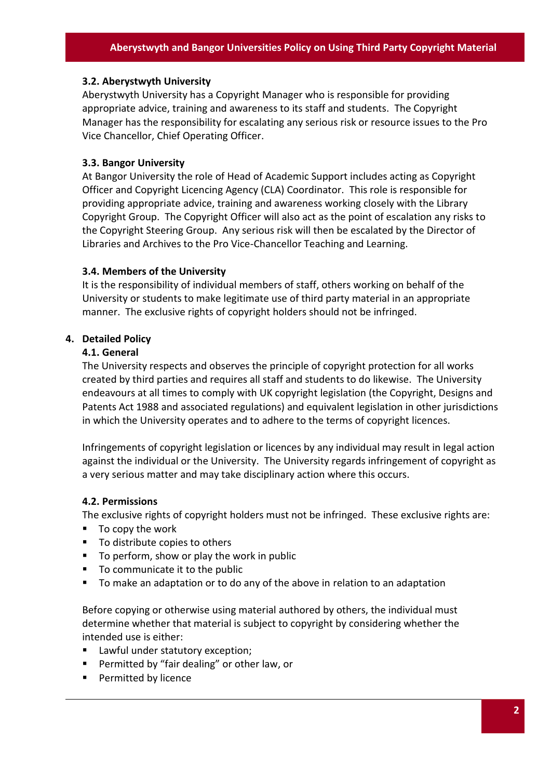#### **3.2. Aberystwyth University**

Aberystwyth University has a Copyright Manager who is responsible for providing appropriate advice, training and awareness to its staff and students. The Copyright Manager has the responsibility for escalating any serious risk or resource issues to the Pro Vice Chancellor, Chief Operating Officer.

#### **3.3. Bangor University**

At Bangor University the role of Head of Academic Support includes acting as Copyright Officer and Copyright Licencing Agency (CLA) Coordinator. This role is responsible for providing appropriate advice, training and awareness working closely with the Library Copyright Group. The Copyright Officer will also act as the point of escalation any risks to the Copyright Steering Group. Any serious risk will then be escalated by the Director of Libraries and Archives to the Pro Vice-Chancellor Teaching and Learning.

#### **3.4. Members of the University**

It is the responsibility of individual members of staff, others working on behalf of the University or students to make legitimate use of third party material in an appropriate manner. The exclusive rights of copyright holders should not be infringed.

#### **4. Detailed Policy**

#### **4.1. General**

The University respects and observes the principle of copyright protection for all works created by third parties and requires all staff and students to do likewise. The University endeavours at all times to comply with UK copyright legislation (the Copyright, Designs and Patents Act 1988 and associated regulations) and equivalent legislation in other jurisdictions in which the University operates and to adhere to the terms of copyright licences.

Infringements of copyright legislation or licences by any individual may result in legal action against the individual or the University. The University regards infringement of copyright as a very serious matter and may take disciplinary action where this occurs.

#### **4.2. Permissions**

The exclusive rights of copyright holders must not be infringed. These exclusive rights are:

- $\blacksquare$  To copy the work
- To distribute copies to others
- $\blacksquare$  To perform, show or play the work in public
- To communicate it to the public
- To make an adaptation or to do any of the above in relation to an adaptation

Before copying or otherwise using material authored by others, the individual must determine whether that material is subject to copyright by considering whether the intended use is either:

- Lawful under statutory exception;
- **Permitted by "fair dealing" or other law, or**
- **Permitted by licence**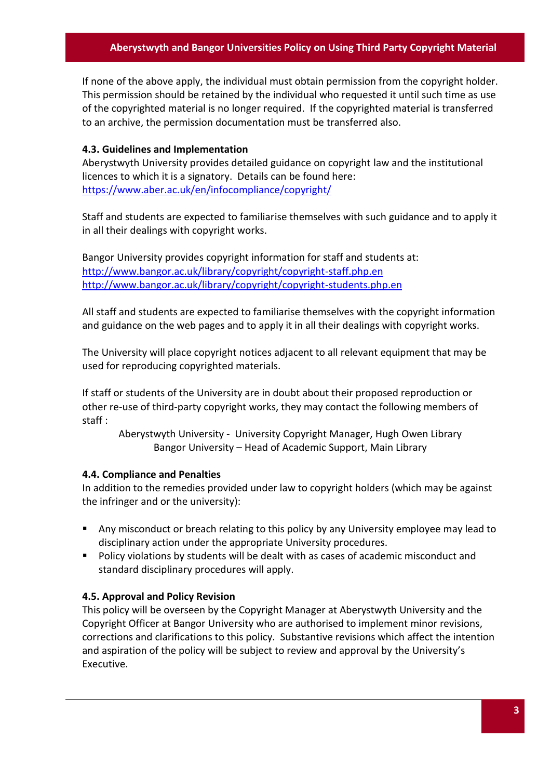### **Aberystwyth and Bangor Universities Policy on Using Third Party Copyright Material**

If none of the above apply, the individual must obtain permission from the copyright holder. This permission should be retained by the individual who requested it until such time as use of the copyrighted material is no longer required. If the copyrighted material is transferred to an archive, the permission documentation must be transferred also.

#### **4.3. Guidelines and Implementation**

Aberystwyth University provides detailed guidance on copyright law and the institutional licences to which it is a signatory. Details can be found here: <https://www.aber.ac.uk/en/infocompliance/copyright/>

Staff and students are expected to familiarise themselves with such guidance and to apply it in all their dealings with copyright works.

Bangor University provides copyright information for staff and students at: <http://www.bangor.ac.uk/library/copyright/copyright-staff.php.en> <http://www.bangor.ac.uk/library/copyright/copyright-students.php.en>

All staff and students are expected to familiarise themselves with the copyright information and guidance on the web pages and to apply it in all their dealings with copyright works.

The University will place copyright notices adjacent to all relevant equipment that may be used for reproducing copyrighted materials.

If staff or students of the University are in doubt about their proposed reproduction or other re-use of third-party copyright works, they may contact the following members of staff :

Aberystwyth University - University Copyright Manager, Hugh Owen Library Bangor University – Head of Academic Support, Main Library

#### **4.4. Compliance and Penalties**

In addition to the remedies provided under law to copyright holders (which may be against the infringer and or the university):

- Any misconduct or breach relating to this policy by any University employee may lead to disciplinary action under the appropriate University procedures.
- Policy violations by students will be dealt with as cases of academic misconduct and standard disciplinary procedures will apply.

#### **4.5. Approval and Policy Revision**

This policy will be overseen by the Copyright Manager at Aberystwyth University and the Copyright Officer at Bangor University who are authorised to implement minor revisions, corrections and clarifications to this policy. Substantive revisions which affect the intention and aspiration of the policy will be subject to review and approval by the University's Executive.